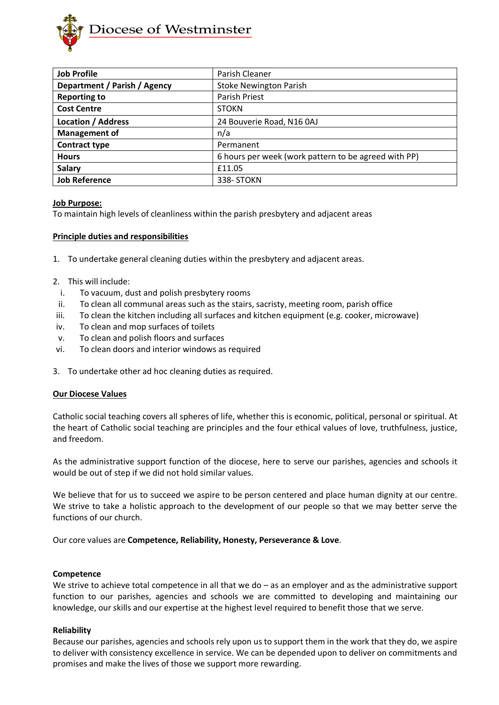

| <b>Job Profile</b>           | Parish Cleaner                                       |
|------------------------------|------------------------------------------------------|
| Department / Parish / Agency | <b>Stoke Newington Parish</b>                        |
| <b>Reporting to</b>          | Parish Priest                                        |
| <b>Cost Centre</b>           | <b>STOKN</b>                                         |
| <b>Location / Address</b>    | 24 Bouverie Road, N16 0AJ                            |
| <b>Management of</b>         | n/a                                                  |
| <b>Contract type</b>         | Permanent                                            |
| <b>Hours</b>                 | 6 hours per week (work pattern to be agreed with PP) |
| <b>Salary</b>                | £11.05                                               |
| <b>Job Reference</b>         | 338-STOKN                                            |

### **Job Purpose:**

To maintain high levels of cleanliness within the parish presbytery and adjacent areas

### **Principle duties and responsibilities**

- 1. To undertake general cleaning duties within the presbytery and adjacent areas.
- 2. This will include:
- i. To vacuum, dust and polish presbytery rooms
- ii. To clean all communal areas such as the stairs, sacristy, meeting room, parish office
- iii. To clean the kitchen including all surfaces and kitchen equipment (e.g. cooker, microwave)
- iv. To clean and mop surfaces of toilets
- v. To clean and polish floors and surfaces
- vi. To clean doors and interior windows as required
- 3. To undertake other ad hoc cleaning duties as required.

#### **Our Diocese Values**

Catholic social teaching covers all spheres of life, whether this is economic, political, personal or spiritual. At the heart of Catholic social teaching are principles and the four ethical values of love, truthfulness, justice, and freedom.

As the administrative support function of the diocese, here to serve our parishes, agencies and schools it would be out of step if we did not hold similar values.

We believe that for us to succeed we aspire to be person centered and place human dignity at our centre. We strive to take a holistic approach to the development of our people so that we may better serve the functions of our church.

Our core values are **Competence, Reliability, Honesty, Perseverance & Love**.

#### **Competence**

We strive to achieve total competence in all that we do – as an employer and as the administrative support function to our parishes, agencies and schools we are committed to developing and maintaining our knowledge, our skills and our expertise at the highest level required to benefit those that we serve.

#### **Reliability**

Because our parishes, agencies and schools rely upon us to support them in the work that they do, we aspire to deliver with consistency excellence in service. We can be depended upon to deliver on commitments and promises and make the lives of those we support more rewarding.